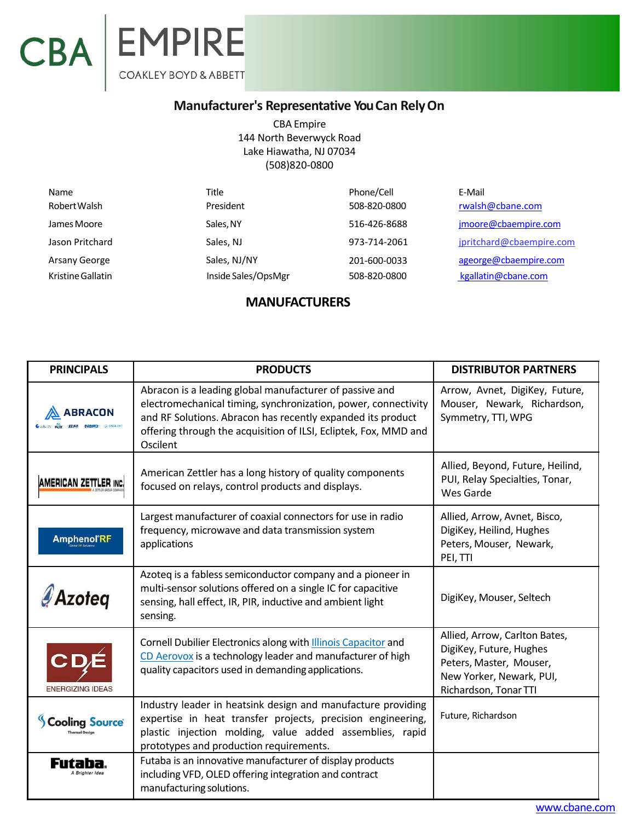## CBA EMPIRE

## **Manufacturer's Representative YouCan RelyOn**

CBA Empire 144 North Beverwyck Road Lake Hiawatha, NJ 07034 (508)820‐0800

| Name              | Title               | Phone/Cell   | E-Mail                   |
|-------------------|---------------------|--------------|--------------------------|
| Robert Walsh      | President           | 508-820-0800 | rwalsh@cbane.com         |
| James Moore       | Sales, NY           | 516-426-8688 | jmoore@cbaempire.com     |
| Jason Pritchard   | Sales, NJ           | 973-714-2061 | jpritchard@cbaempire.com |
| Arsany George     | Sales, NJ/NY        | 201-600-0033 | ageorge@cbaempire.com    |
| Kristine Gallatin | Inside Sales/OpsMgr | 508-820-0800 | kgallatin@cbane.com      |

## **MANUFACTURERS**

| <b>PRINCIPALS</b>                             | <b>PRODUCTS</b>                                                                                                                                                                                                                                                          | <b>DISTRIBUTOR PARTNERS</b>                                                                                                              |
|-----------------------------------------------|--------------------------------------------------------------------------------------------------------------------------------------------------------------------------------------------------------------------------------------------------------------------------|------------------------------------------------------------------------------------------------------------------------------------------|
| <b>\BRACON</b><br><b>TEST NIMED</b> COOSCIUNT | Abracon is a leading global manufacturer of passive and<br>electromechanical timing, synchronization, power, connectivity<br>and RF Solutions. Abracon has recently expanded its product<br>offering through the acquisition of ILSI, Ecliptek, Fox, MMD and<br>Oscilent | Arrow, Avnet, DigiKey, Future,<br>Mouser, Newark, Richardson,<br>Symmetry, TTI, WPG                                                      |
| <b>AMERICAN ZETTLER INC.</b>                  | American Zettler has a long history of quality components<br>focused on relays, control products and displays.                                                                                                                                                           | Allied, Beyond, Future, Heilind,<br>PUI, Relay Specialties, Tonar,<br>Wes Garde                                                          |
| <b>Amphenol'RF</b>                            | Largest manufacturer of coaxial connectors for use in radio<br>frequency, microwave and data transmission system<br>applications                                                                                                                                         | Allied, Arrow, Avnet, Bisco,<br>DigiKey, Heilind, Hughes<br>Peters, Mouser, Newark,<br>PEI, TTI                                          |
| <b>Azoteg</b>                                 | Azoteq is a fabless semiconductor company and a pioneer in<br>multi-sensor solutions offered on a single IC for capacitive<br>sensing, hall effect, IR, PIR, inductive and ambient light<br>sensing.                                                                     | DigiKey, Mouser, Seltech                                                                                                                 |
| <b>ENERGIZING IDEAS</b>                       | Cornell Dubilier Electronics along with <b>Illinois Capacitor</b> and<br>CD Aerovox is a technology leader and manufacturer of high<br>quality capacitors used in demanding applications.                                                                                | Allied, Arrow, Carlton Bates,<br>DigiKey, Future, Hughes<br>Peters, Master, Mouser,<br>New Yorker, Newark, PUI,<br>Richardson, Tonar TTI |
| <b>Cooling Source</b>                         | Industry leader in heatsink design and manufacture providing<br>expertise in heat transfer projects, precision engineering,<br>plastic injection molding, value added assemblies, rapid<br>prototypes and production requirements.                                       | Future, Richardson                                                                                                                       |
|                                               | Futaba is an innovative manufacturer of display products<br>including VFD, OLED offering integration and contract<br>manufacturing solutions.                                                                                                                            |                                                                                                                                          |